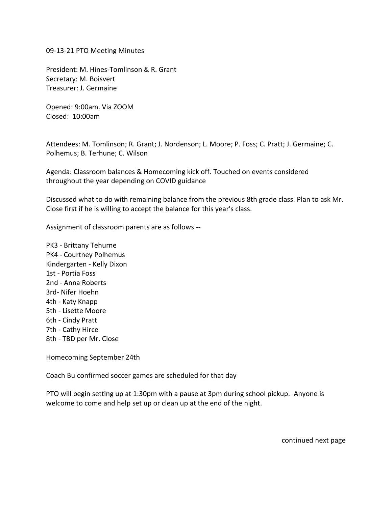09-13-21 PTO Meeting Minutes

President: M. Hines-Tomlinson & R. Grant Secretary: M. Boisvert Treasurer: J. Germaine

Opened: 9:00am. Via ZOOM Closed: 10:00am

Attendees: M. Tomlinson; R. Grant; J. Nordenson; L. Moore; P. Foss; C. Pratt; J. Germaine; C. Polhemus; B. Terhune; C. Wilson

Agenda: Classroom balances & Homecoming kick off. Touched on events considered throughout the year depending on COVID guidance

Discussed what to do with remaining balance from the previous 8th grade class. Plan to ask Mr. Close first if he is willing to accept the balance for this year's class.

Assignment of classroom parents are as follows --

PK3 - Brittany Tehurne PK4 - Courtney Polhemus Kindergarten - Kelly Dixon 1st - Portia Foss 2nd - Anna Roberts 3rd- Nifer Hoehn 4th - Katy Knapp 5th - Lisette Moore 6th - Cindy Pratt 7th - Cathy Hirce 8th - TBD per Mr. Close

Homecoming September 24th

Coach Bu confirmed soccer games are scheduled for that day

PTO will begin setting up at 1:30pm with a pause at 3pm during school pickup. Anyone is welcome to come and help set up or clean up at the end of the night.

continued next page